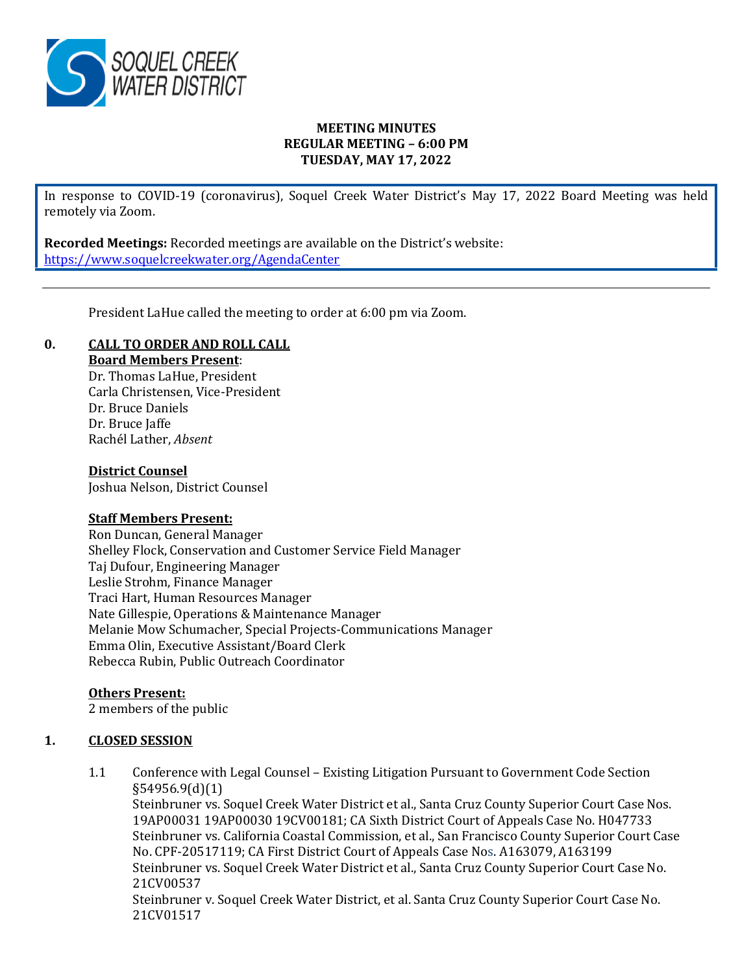

## **MEETING MINUTES REGULAR MEETING – 6:00 PM TUESDAY, MAY 17, 2022**

In response to COVID-19 (coronavirus), Soquel Creek Water District's May 17, 2022 Board Meeting was held remotely via Zoom.

**Recorded Meetings:** Recorded meetings are available on the District's website: <https://www.soquelcreekwater.org/AgendaCenter>

President LaHue called the meeting to order at 6:00 pm via Zoom.

# **0. CALL TO ORDER AND ROLL CALL**

**Board Members Present**:

Dr. Thomas LaHue, President Carla Christensen, Vice-President Dr. Bruce Daniels Dr. Bruce Jaffe Rachél Lather, *Absent*

#### **District Counsel**

Joshua Nelson, District Counsel

#### **Staff Members Present:**

Ron Duncan, General Manager Shelley Flock, Conservation and Customer Service Field Manager Taj Dufour, Engineering Manager Leslie Strohm, Finance Manager Traci Hart, Human Resources Manager Nate Gillespie, Operations & Maintenance Manager Melanie Mow Schumacher, Special Projects-Communications Manager Emma Olin, Executive Assistant/Board Clerk Rebecca Rubin, Public Outreach Coordinator

# **Others Present:**

2 members of the public

# **1. CLOSED SESSION**

1.1 Conference with Legal Counsel – Existing Litigation Pursuant to Government Code Section §54956.9(d)(1) Steinbruner vs. Soquel Creek Water District et al., Santa Cruz County Superior Court Case Nos. 19AP00031 19AP00030 19CV00181; CA Sixth District Court of Appeals Case No. H047733 Steinbruner vs. California Coastal Commission, et al., San Francisco County Superior Court Case No. CPF-20517119; CA First District Court of Appeals Case Nos. A163079, A163199 Steinbruner vs. Soquel Creek Water District et al., Santa Cruz County Superior Court Case No. 21CV00537 Steinbruner v. Soquel Creek Water District, et al. Santa Cruz County Superior Court Case No. 21CV01517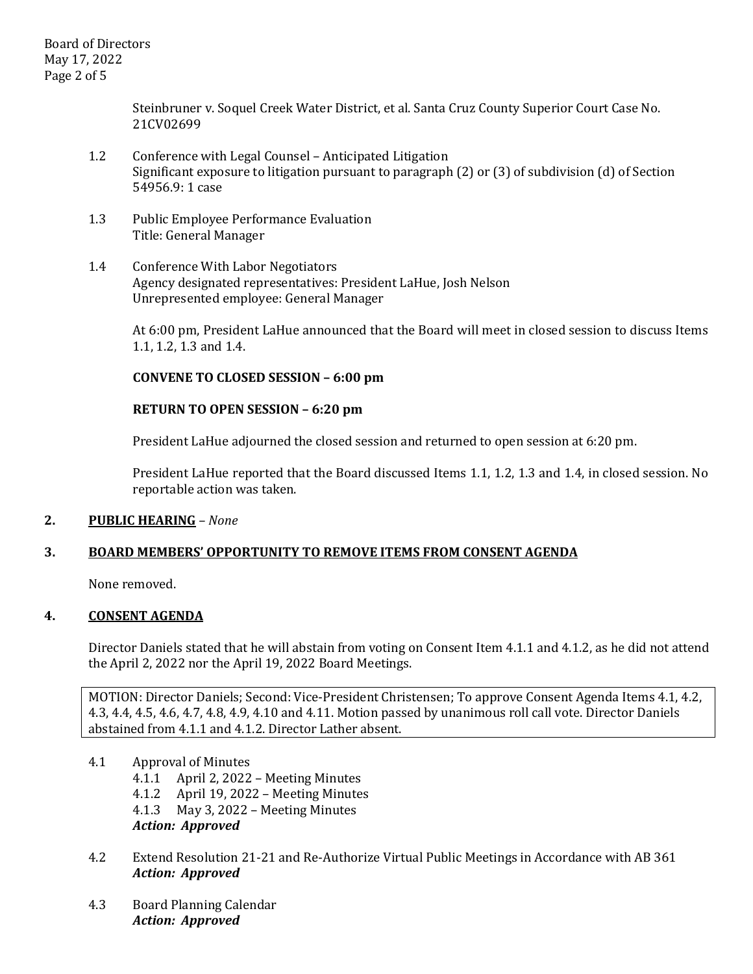Steinbruner v. Soquel Creek Water District, et al. Santa Cruz County Superior Court Case No. 21CV02699

- 1.2 Conference with Legal Counsel Anticipated Litigation Significant exposure to litigation pursuant to paragraph (2) or (3) of subdivision (d) of Section 54956.9: 1 case
- 1.3 Public Employee Performance Evaluation Title: General Manager
- 1.4 Conference With Labor Negotiators Agency designated representatives: President LaHue, Josh Nelson Unrepresented employee: General Manager

At 6:00 pm, President LaHue announced that the Board will meet in closed session to discuss Items 1.1, 1.2, 1.3 and 1.4.

# **CONVENE TO CLOSED SESSION – 6:00 pm**

### **RETURN TO OPEN SESSION – 6:20 pm**

President LaHue adjourned the closed session and returned to open session at 6:20 pm.

President LaHue reported that the Board discussed Items 1.1, 1.2, 1.3 and 1.4, in closed session. No reportable action was taken.

#### **2. PUBLIC HEARING** *– None*

#### **3. BOARD MEMBERS' OPPORTUNITY TO REMOVE ITEMS FROM CONSENT AGENDA**

None removed.

# **4. CONSENT AGENDA**

Director Daniels stated that he will abstain from voting on Consent Item 4.1.1 and 4.1.2, as he did not attend the April 2, 2022 nor the April 19, 2022 Board Meetings.

MOTION: Director Daniels; Second: Vice-President Christensen; To approve Consent Agenda Items 4.1, 4.2, 4.3, 4.4, 4.5, 4.6, 4.7, 4.8, 4.9, 4.10 and 4.11. Motion passed by unanimous roll call vote. Director Daniels abstained from 4.1.1 and 4.1.2. Director Lather absent.

- 4.1 Approval of Minutes
	- 4.1.1 April 2, 2022 Meeting Minutes
	- 4.1.2 April 19, 2022 Meeting Minutes
	- 4.1.3 May 3, 2022 Meeting Minutes
	- *Action: Approved*
- 4.2 Extend Resolution 21-21 and Re-Authorize Virtual Public Meetings in Accordance with AB 361 *Action: Approved*
- 4.3 Board Planning Calendar *Action: Approved*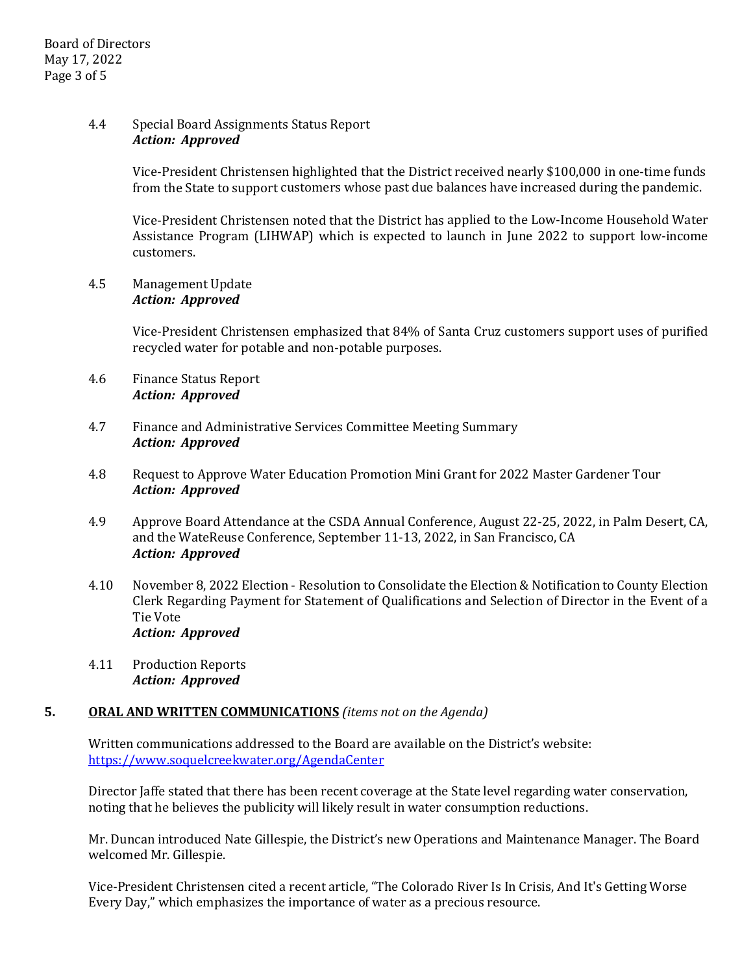### 4.4 Special Board Assignments Status Report *Action: Approved*

Vice-President Christensen highlighted that the District received nearly \$100,000 in one-time funds from the State to support customers whose past due balances have increased during the pandemic.

Vice-President Christensen noted that the District has applied to the Low-Income Household Water Assistance Program (LIHWAP) which is expected to launch in June 2022 to support low-income customers.

#### 4.5 Management Update *Action: Approved*

Vice-President Christensen emphasized that 84% of Santa Cruz customers support uses of purified recycled water for potable and non-potable purposes.

### 4.6 Finance Status Report *Action: Approved*

- 4.7 Finance and Administrative Services Committee Meeting Summary *Action: Approved*
- 4.8 Request to Approve Water Education Promotion Mini Grant for 2022 Master Gardener Tour *Action: Approved*
- 4.9 Approve Board Attendance at the CSDA Annual Conference, August 22-25, 2022, in Palm Desert, CA, and the WateReuse Conference, September 11-13, 2022, in San Francisco, CA *Action: Approved*
- 4.10 November 8, 2022 Election Resolution to Consolidate the Election & Notification to County Election Clerk Regarding Payment for Statement of Qualifications and Selection of Director in the Event of a Tie Vote *Action: Approved*
- 4.11 Production Reports *Action: Approved*

# **5. ORAL AND WRITTEN COMMUNICATIONS** *(items not on the Agenda)*

Written communications addressed to the Board are available on the District's website: <https://www.soquelcreekwater.org/AgendaCenter>

Director Jaffe stated that there has been recent coverage at the State level regarding water conservation, noting that he believes the publicity will likely result in water consumption reductions.

Mr. Duncan introduced Nate Gillespie, the District's new Operations and Maintenance Manager. The Board welcomed Mr. Gillespie.

Vice-President Christensen cited a recent article, "The Colorado River Is In Crisis, And It's Getting Worse Every Day," which emphasizes the importance of water as a precious resource.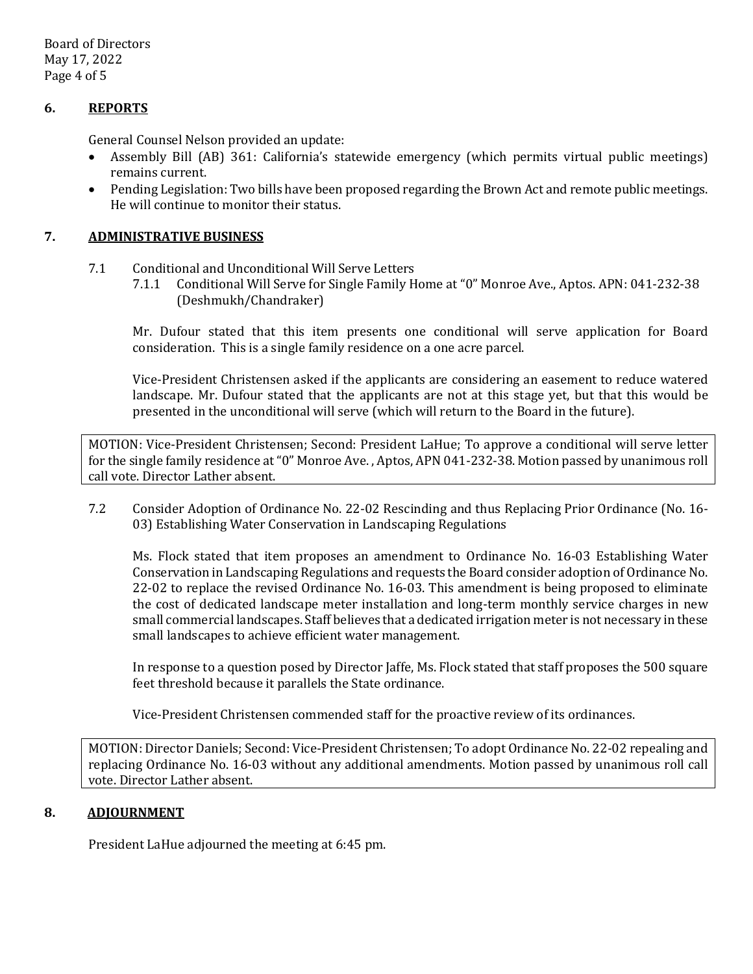Board of Directors May 17, 2022 Page 4 of 5

## **6. REPORTS**

General Counsel Nelson provided an update:

- Assembly Bill (AB) 361: California's statewide emergency (which permits virtual public meetings) remains current.
- Pending Legislation: Two bills have been proposed regarding the Brown Act and remote public meetings. He will continue to monitor their status.

### **7. ADMINISTRATIVE BUSINESS**

- 7.1 Conditional and Unconditional Will Serve Letters<br>7.1.1 Conditional Will Serve for Single Family H
	- 7.1.1 Conditional Will Serve for Single Family Home at "0" Monroe Ave., Aptos. APN: 041-232-38 (Deshmukh/Chandraker)

Mr. Dufour stated that this item presents one conditional will serve application for Board consideration. This is a single family residence on a one acre parcel.

Vice-President Christensen asked if the applicants are considering an easement to reduce watered landscape. Mr. Dufour stated that the applicants are not at this stage yet, but that this would be presented in the unconditional will serve (which will return to the Board in the future).

MOTION: Vice-President Christensen; Second: President LaHue; To approve a conditional will serve letter for the single family residence at "0" Monroe Ave. , Aptos, APN 041-232-38. Motion passed by unanimous roll call vote. Director Lather absent.

7.2 Consider Adoption of Ordinance No. 22-02 Rescinding and thus Replacing Prior Ordinance (No. 16- 03) Establishing Water Conservation in Landscaping Regulations

Ms. Flock stated that item proposes an amendment to Ordinance No. 16-03 Establishing Water Conservation in Landscaping Regulations and requests the Board consider adoption of Ordinance No. 22-02 to replace the revised Ordinance No. 16-03. This amendment is being proposed to eliminate the cost of dedicated landscape meter installation and long-term monthly service charges in new small commercial landscapes. Staff believes that a dedicated irrigation meter is not necessary in these small landscapes to achieve efficient water management.

In response to a question posed by Director Jaffe, Ms. Flock stated that staff proposes the 500 square feet threshold because it parallels the State ordinance.

Vice-President Christensen commended staff for the proactive review of its ordinances.

MOTION: Director Daniels; Second: Vice-President Christensen; To adopt Ordinance No. 22-02 repealing and replacing Ordinance No. 16-03 without any additional amendments. Motion passed by unanimous roll call vote. Director Lather absent.

### **8. ADJOURNMENT**

President LaHue adjourned the meeting at 6:45 pm.